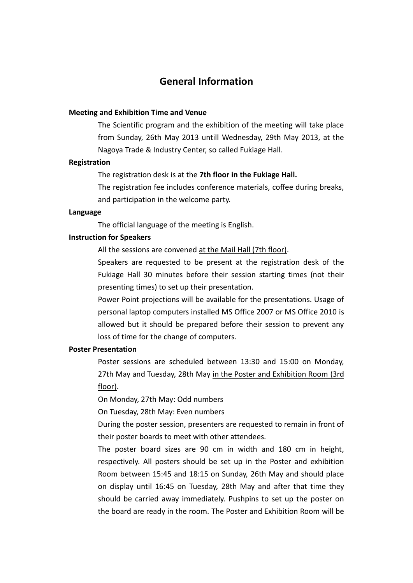# **General Information**

### **Meeting and Exhibition Time and Venue**

The Scientific program and the exhibition of the meeting will take place from Sunday, 26th May 2013 untill Wednesday, 29th May 2013, at the Nagoya Trade & Industry Center, so called Fukiage Hall.

## **Registration**

### The registration desk is at the **7th floor in the Fukiage Hall.**

The registration fee includes conference materials, coffee during breaks, and participation in the welcome party.

## **Language**

The official language of the meeting is English.

### **Instruction for Speakers**

All the sessions are convened at the Mail Hall (7th floor).

Speakers are requested to be present at the registration desk of the Fukiage Hall 30 minutes before their session starting times (not their presenting times) to set up their presentation.

Power Point projections will be available for the presentations. Usage of personal laptop computers installed MS Office 2007 or MS Office 2010 is allowed but it should be prepared before their session to prevent any loss of time for the change of computers.

#### **Poster Presentation**

Poster sessions are scheduled between 13:30 and 15:00 on Monday, 27th May and Tuesday, 28th May in the Poster and Exhibition Room (3rd floor).

On Monday, 27th May: Odd numbers

On Tuesday, 28th May: Even numbers

During the poster session, presenters are requested to remain in front of their poster boards to meet with other attendees.

The poster board sizes are 90 cm in width and 180 cm in height, respectively. All posters should be set up in the Poster and exhibition Room between 15:45 and 18:15 on Sunday, 26th May and should place on display until 16:45 on Tuesday, 28th May and after that time they should be carried away immediately. Pushpins to set up the poster on the board are ready in the room. The Poster and Exhibition Room will be